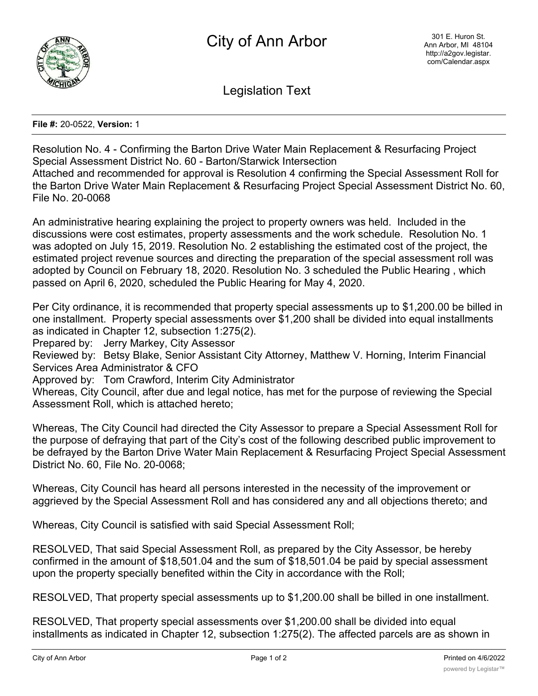

Legislation Text

**File #:** 20-0522, **Version:** 1

Resolution No. 4 - Confirming the Barton Drive Water Main Replacement & Resurfacing Project Special Assessment District No. 60 - Barton/Starwick Intersection Attached and recommended for approval is Resolution 4 confirming the Special Assessment Roll for

the Barton Drive Water Main Replacement & Resurfacing Project Special Assessment District No. 60, File No. 20-0068

An administrative hearing explaining the project to property owners was held. Included in the discussions were cost estimates, property assessments and the work schedule. Resolution No. 1 was adopted on July 15, 2019. Resolution No. 2 establishing the estimated cost of the project, the estimated project revenue sources and directing the preparation of the special assessment roll was adopted by Council on February 18, 2020. Resolution No. 3 scheduled the Public Hearing , which passed on April 6, 2020, scheduled the Public Hearing for May 4, 2020.

Per City ordinance, it is recommended that property special assessments up to \$1,200.00 be billed in one installment. Property special assessments over \$1,200 shall be divided into equal installments as indicated in Chapter 12, subsection 1:275(2).

Prepared by: Jerry Markey, City Assessor

Reviewed by: Betsy Blake, Senior Assistant City Attorney, Matthew V. Horning, Interim Financial Services Area Administrator & CFO

Approved by: Tom Crawford, Interim City Administrator

Whereas, City Council, after due and legal notice, has met for the purpose of reviewing the Special Assessment Roll, which is attached hereto;

Whereas, The City Council had directed the City Assessor to prepare a Special Assessment Roll for the purpose of defraying that part of the City's cost of the following described public improvement to be defrayed by the Barton Drive Water Main Replacement & Resurfacing Project Special Assessment District No. 60, File No. 20-0068;

Whereas, City Council has heard all persons interested in the necessity of the improvement or aggrieved by the Special Assessment Roll and has considered any and all objections thereto; and

Whereas, City Council is satisfied with said Special Assessment Roll;

RESOLVED, That said Special Assessment Roll, as prepared by the City Assessor, be hereby confirmed in the amount of \$18,501.04 and the sum of \$18,501.04 be paid by special assessment upon the property specially benefited within the City in accordance with the Roll;

RESOLVED, That property special assessments up to \$1,200.00 shall be billed in one installment.

RESOLVED, That property special assessments over \$1,200.00 shall be divided into equal installments as indicated in Chapter 12, subsection 1:275(2). The affected parcels are as shown in